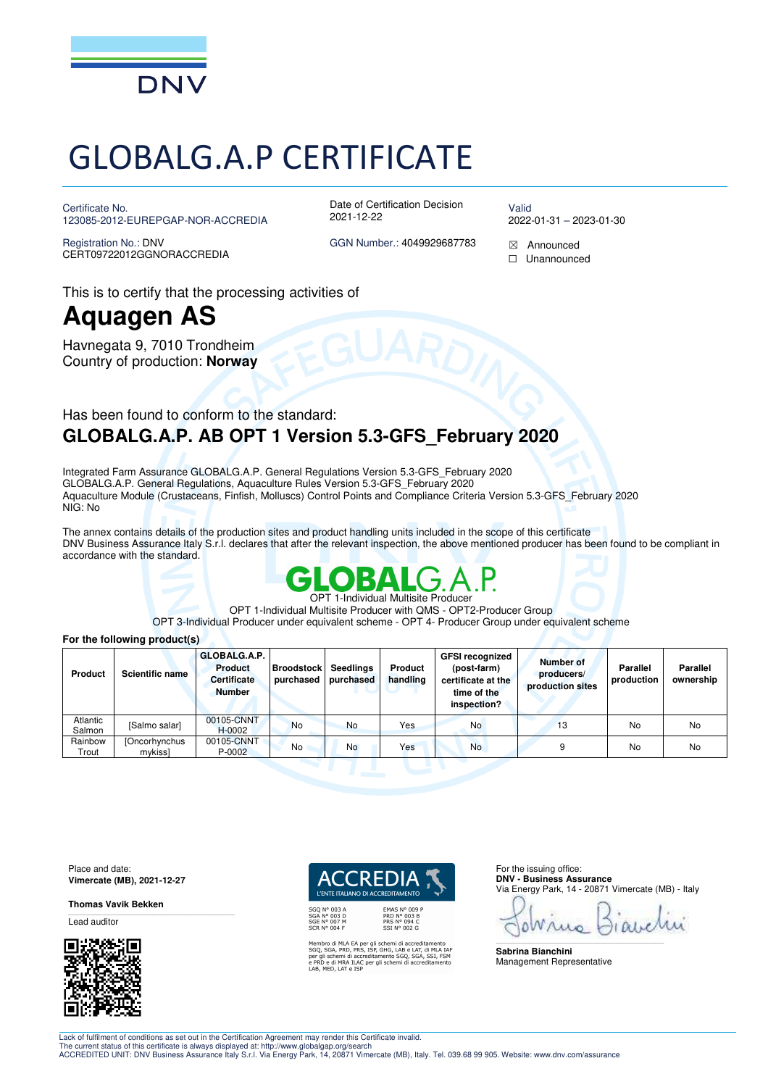

# GLOBALG.A.P CERTIFICATE

Certificate No. 123085-2012-EUREPGAP-NOR-ACCREDIA

Registration No.: DNV CERT09722012GGNORACCREDIA Date of Certification Decision 2021-12-22

Valid 2022-01-31 – 2023-01-30

GGN Number.: 4049929687783 Announced

☐ Unannounced

This is to certify that the processing activities of

## **Aquagen AS**

Havnegata 9, 7010 Trondheim Country of production: **Norway**

### Has been found to conform to the standard: **GLOBALG.A.P. AB OPT 1 Version 5.3-GFS\_February 2020**

Integrated Farm Assurance GLOBALG.A.P. General Regulations Version 5.3-GFS\_February 2020 GLOBALG.A.P. General Regulations, Aquaculture Rules Version 5.3-GFS\_February 2020 Aquaculture Module (Crustaceans, Finfish, Molluscs) Control Points and Compliance Criteria Version 5.3-GFS\_February 2020 NIG: No

The annex contains details of the production sites and product handling units included in the scope of this certificate DNV Business Assurance Italy S.r.l. declares that after the relevant inspection, the above mentioned producer has been found to be compliant in accordance with the standard.



OPT 1-Individual Multisite Producer with QMS - OPT2-Producer Group

OPT 3-Individual Producer under equivalent scheme - OPT 4- Producer Group under equivalent scheme

#### **For the following product(s)**

| Product            | <b>Scientific name</b>          | GLOBALG.A.P.<br><b>Product</b><br><b>Certificate</b><br><b>Number</b> | <b>Broodstock</b><br>purchased | Seedlings<br>purchased | Product<br>handling | <b>GFSI recognized</b><br>(post-farm)<br>certificate at the<br>time of the<br>inspection? | Number of<br>producers/<br>production sites | <b>Parallel</b><br>production | Parallel<br>ownership |
|--------------------|---------------------------------|-----------------------------------------------------------------------|--------------------------------|------------------------|---------------------|-------------------------------------------------------------------------------------------|---------------------------------------------|-------------------------------|-----------------------|
| Atlantic<br>Salmon | [Salmo salar]                   | 00105-CNNT<br>H-0002                                                  | <b>No</b>                      | <b>No</b>              | Yes                 | <b>No</b>                                                                                 | 13                                          | No                            | No                    |
| Rainbow<br>Trout   | <b>[Oncorhynchus</b><br>mykissl | 00105-CNNT<br>$P - 0002$                                              | No                             | No                     | Yes                 | <b>No</b>                                                                                 | 9                                           | No                            | No                    |

Place and date: **Vimercate (MB), 2021-12-27** 

**Thomas Vavik Bekken** 

Lead auditor



*I'ENTE ITALIANO DI ACCREDITAMENTO* 

Membro di MLA EA per gli schemi di accreditamento<br>SGQ, SGA, PRD, PRS, ISP, GHG, LAB e LAT, di MLA IAI<br>per gli schemi di accreditamento SGQ, SGA, SSI, FSM<br>e PRD e di MRA ILAC per gli schemi di accreditamento<br>LAB, MED, LAT e

**EMAS N° 009<br>PRD N° 003 B<br>PRS N° 094 C<br>SSI N° 002 G** 

For the issuing office: **DNV - Business Assurance**  Via Energy Park, 14 - 20871 Vimercate (MB) - Italy

\_\_\_\_\_\_\_\_\_\_\_\_\_\_\_\_\_\_\_\_\_\_\_\_\_\_\_\_\_\_\_\_\_\_\_\_\_\_\_\_\_\_\_\_\_\_\_\_\_\_\_\_\_\_\_\_\_\_\_\_\_\_\_\_\_\_\_\_\_\_\_\_\_\_\_\_\_\_

**Sabrina Bianchini**  Management Representative

Lack of fulfilment of conditions as set out in the Certification Agreement may render this Certificate invalid.

The current status of this certificate is always displayed at: http://www.globalgap.org/search<br>ACCREDITED UNIT: DNV Business Assurance Italy S.r.l. Via Energy Park, 14, 20871 Vimercate (MB), Italy. Tel. 039.68 99 905. Webs